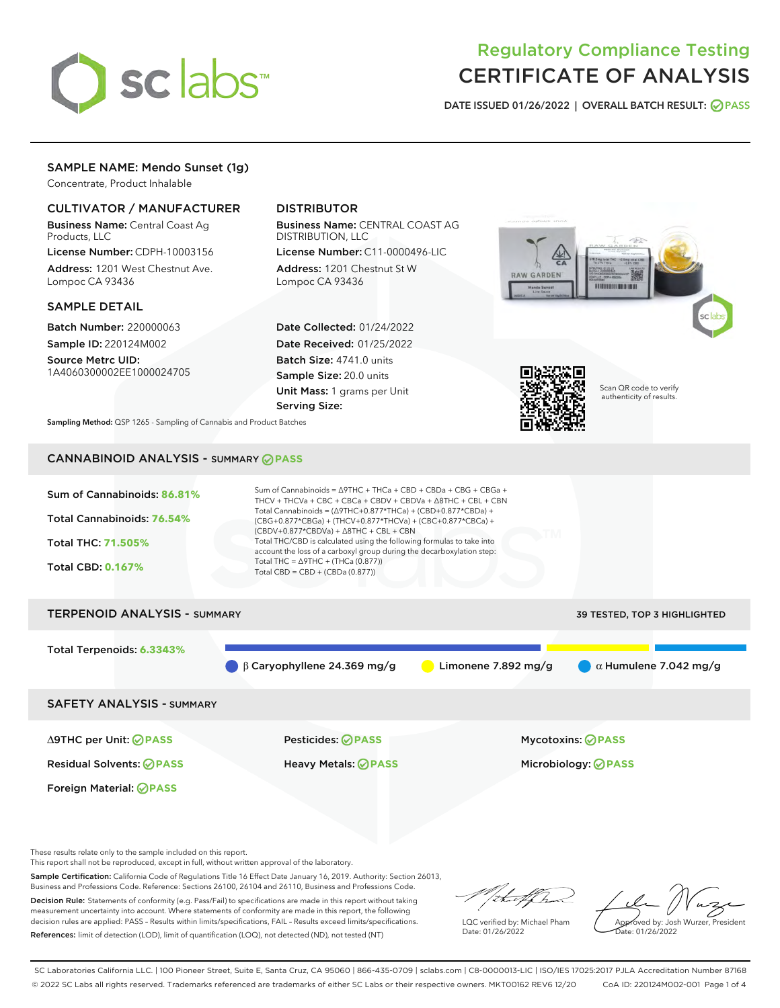# sclabs<sup>\*</sup>

# Regulatory Compliance Testing CERTIFICATE OF ANALYSIS

DATE ISSUED 01/26/2022 | OVERALL BATCH RESULT: @ PASS

## SAMPLE NAME: Mendo Sunset (1g)

Concentrate, Product Inhalable

### CULTIVATOR / MANUFACTURER

Business Name: Central Coast Ag Products, LLC

License Number: CDPH-10003156 Address: 1201 West Chestnut Ave. Lompoc CA 93436

#### SAMPLE DETAIL

Batch Number: 220000063 Sample ID: 220124M002

Source Metrc UID: 1A4060300002EE1000024705

# DISTRIBUTOR

Business Name: CENTRAL COAST AG DISTRIBUTION, LLC

License Number: C11-0000496-LIC Address: 1201 Chestnut St W Lompoc CA 93436

Date Collected: 01/24/2022 Date Received: 01/25/2022 Batch Size: 4741.0 units Sample Size: 20.0 units Unit Mass: 1 grams per Unit Serving Size:





Scan QR code to verify authenticity of results.

Sampling Method: QSP 1265 - Sampling of Cannabis and Product Batches

# CANNABINOID ANALYSIS - SUMMARY **PASS**

| Sum of Cannabinoids: 86.81%<br>Total Cannabinoids: 76.54%<br>Total THC: 71.505%<br><b>Total CBD: 0.167%</b> | Sum of Cannabinoids = $\triangle$ 9THC + THCa + CBD + CBDa + CBG + CBGa +<br>THCV + THCVa + CBC + CBCa + CBDV + CBDVa + $\triangle$ 8THC + CBL + CBN<br>Total Cannabinoids = $(\Delta$ 9THC+0.877*THCa) + (CBD+0.877*CBDa) +<br>$(CBG+0.877*CBGa) + (THCV+0.877*THCVa) + (CBC+0.877*CBCa) +$<br>$(CBDV+0.877*CBDVa) + \Delta 8THC + CBL + CBN$<br>Total THC/CBD is calculated using the following formulas to take into<br>account the loss of a carboxyl group during the decarboxylation step:<br>Total THC = $\triangle$ 9THC + (THCa (0.877))<br>Total CBD = $CBD + (CBDa (0.877))$ |                       |                                     |  |  |
|-------------------------------------------------------------------------------------------------------------|-----------------------------------------------------------------------------------------------------------------------------------------------------------------------------------------------------------------------------------------------------------------------------------------------------------------------------------------------------------------------------------------------------------------------------------------------------------------------------------------------------------------------------------------------------------------------------------------|-----------------------|-------------------------------------|--|--|
| <b>TERPENOID ANALYSIS - SUMMARY</b>                                                                         |                                                                                                                                                                                                                                                                                                                                                                                                                                                                                                                                                                                         |                       | <b>39 TESTED, TOP 3 HIGHLIGHTED</b> |  |  |
| Total Terpenoids: 6.3343%                                                                                   | $\beta$ Caryophyllene 24.369 mg/g                                                                                                                                                                                                                                                                                                                                                                                                                                                                                                                                                       | Limonene $7.892$ mg/g | $\alpha$ Humulene 7.042 mg/g        |  |  |
| <b>SAFETY ANALYSIS - SUMMARY</b>                                                                            |                                                                                                                                                                                                                                                                                                                                                                                                                                                                                                                                                                                         |                       |                                     |  |  |
| $\triangle$ 9THC per Unit: $\oslash$ PASS                                                                   | <b>Pesticides: ⊘ PASS</b>                                                                                                                                                                                                                                                                                                                                                                                                                                                                                                                                                               |                       | <b>Mycotoxins: ⊘PASS</b>            |  |  |
| <b>Residual Solvents: ⊘PASS</b>                                                                             | <b>Heavy Metals: ⊘ PASS</b>                                                                                                                                                                                                                                                                                                                                                                                                                                                                                                                                                             |                       | Microbiology: <b>@PASS</b>          |  |  |

These results relate only to the sample included on this report.

Foreign Material: **PASS** 

This report shall not be reproduced, except in full, without written approval of the laboratory.

Sample Certification: California Code of Regulations Title 16 Effect Date January 16, 2019. Authority: Section 26013, Business and Professions Code. Reference: Sections 26100, 26104 and 26110, Business and Professions Code.

Decision Rule: Statements of conformity (e.g. Pass/Fail) to specifications are made in this report without taking measurement uncertainty into account. Where statements of conformity are made in this report, the following decision rules are applied: PASS – Results within limits/specifications, FAIL – Results exceed limits/specifications. References: limit of detection (LOD), limit of quantification (LOQ), not detected (ND), not tested (NT)

hat f h

LQC verified by: Michael Pham Date: 01/26/2022

Approved by: Josh Wurzer, President ate: 01/26/2022

SC Laboratories California LLC. | 100 Pioneer Street, Suite E, Santa Cruz, CA 95060 | 866-435-0709 | sclabs.com | C8-0000013-LIC | ISO/IES 17025:2017 PJLA Accreditation Number 87168 © 2022 SC Labs all rights reserved. Trademarks referenced are trademarks of either SC Labs or their respective owners. MKT00162 REV6 12/20 CoA ID: 220124M002-001 Page 1 of 4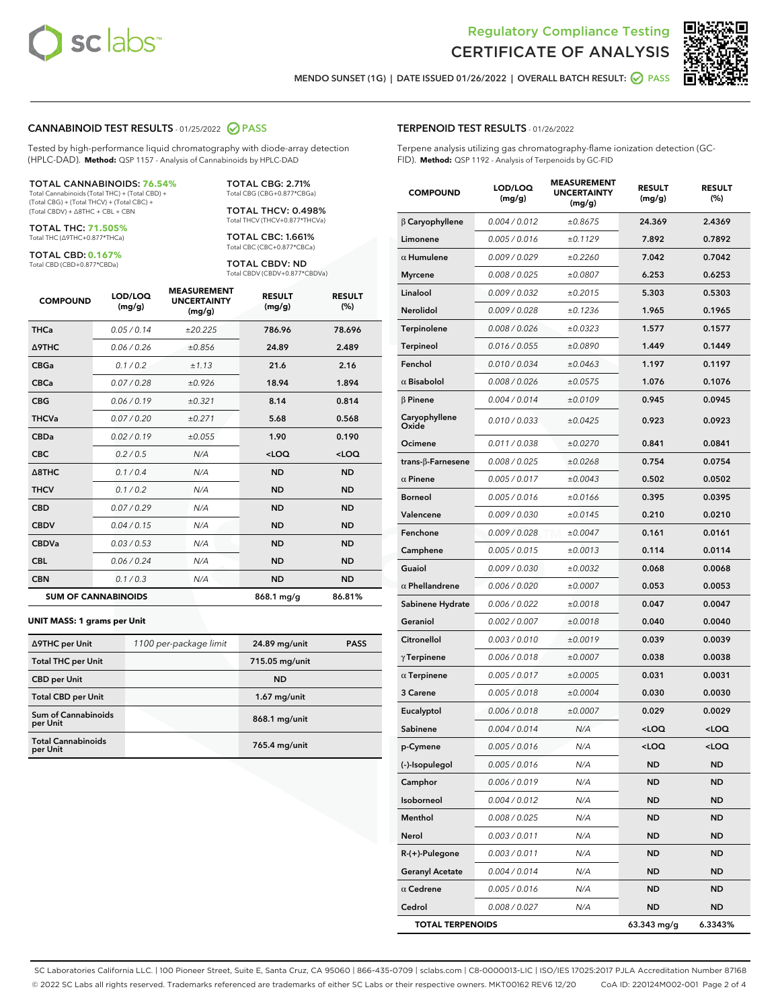



MENDO SUNSET (1G) | DATE ISSUED 01/26/2022 | OVERALL BATCH RESULT: ○ PASS

#### CANNABINOID TEST RESULTS - 01/25/2022 2 PASS

Tested by high-performance liquid chromatography with diode-array detection (HPLC-DAD). **Method:** QSP 1157 - Analysis of Cannabinoids by HPLC-DAD

#### TOTAL CANNABINOIDS: **76.54%**

Total Cannabinoids (Total THC) + (Total CBD) + (Total CBG) + (Total THCV) + (Total CBC) + (Total CBDV) + ∆8THC + CBL + CBN

TOTAL THC: **71.505%** Total THC (∆9THC+0.877\*THCa)

TOTAL CBD: **0.167%**

Total CBD (CBD+0.877\*CBDa)

TOTAL CBG: 2.71% Total CBG (CBG+0.877\*CBGa)

TOTAL THCV: 0.498% Total THCV (THCV+0.877\*THCVa)

TOTAL CBC: 1.661% Total CBC (CBC+0.877\*CBCa)

TOTAL CBDV: ND Total CBDV (CBDV+0.877\*CBDVa)

| <b>COMPOUND</b>  | LOD/LOQ<br>(mg/g)          | <b>MEASUREMENT</b><br><b>UNCERTAINTY</b><br>(mg/g) | <b>RESULT</b><br>(mg/g) | <b>RESULT</b><br>(%) |
|------------------|----------------------------|----------------------------------------------------|-------------------------|----------------------|
| <b>THCa</b>      | 0.05 / 0.14                | ±20.225                                            | 786.96                  | 78.696               |
| <b>A9THC</b>     | 0.06/0.26                  | ±0.856                                             | 24.89                   | 2.489                |
| <b>CBGa</b>      | 0.1/0.2                    | ±1.13                                              | 21.6                    | 2.16                 |
| <b>CBCa</b>      | 0.07/0.28                  | ±0.926                                             | 18.94                   | 1.894                |
| <b>CBG</b>       | 0.06/0.19                  | ±0.321                                             | 8.14                    | 0.814                |
| <b>THCVa</b>     | 0.07 / 0.20                | ±0.271                                             | 5.68                    | 0.568                |
| <b>CBDa</b>      | 0.02/0.19                  | ±0.055                                             | 1.90                    | 0.190                |
| <b>CBC</b>       | 0.2 / 0.5                  | N/A                                                | $<$ LOQ                 | $<$ LOQ              |
| $\triangle$ 8THC | 0.1/0.4                    | N/A                                                | <b>ND</b>               | <b>ND</b>            |
| <b>THCV</b>      | 0.1 / 0.2                  | N/A                                                | <b>ND</b>               | <b>ND</b>            |
| <b>CBD</b>       | 0.07/0.29                  | N/A                                                | <b>ND</b>               | <b>ND</b>            |
| <b>CBDV</b>      | 0.04 / 0.15                | N/A                                                | <b>ND</b>               | <b>ND</b>            |
| <b>CBDVa</b>     | 0.03 / 0.53                | N/A                                                | <b>ND</b>               | <b>ND</b>            |
| <b>CBL</b>       | 0.06 / 0.24                | N/A                                                | <b>ND</b>               | <b>ND</b>            |
| <b>CBN</b>       | 0.1/0.3                    | N/A                                                | <b>ND</b>               | <b>ND</b>            |
|                  | <b>SUM OF CANNABINOIDS</b> |                                                    | 868.1 mg/g              | 86.81%               |

#### **UNIT MASS: 1 grams per Unit**

| ∆9THC per Unit                         | 1100 per-package limit | 24.89 mg/unit  | <b>PASS</b> |
|----------------------------------------|------------------------|----------------|-------------|
| <b>Total THC per Unit</b>              |                        | 715.05 mg/unit |             |
| <b>CBD</b> per Unit                    |                        | <b>ND</b>      |             |
| <b>Total CBD per Unit</b>              |                        | $1.67$ mg/unit |             |
| <b>Sum of Cannabinoids</b><br>per Unit |                        | 868.1 mg/unit  |             |
| <b>Total Cannabinoids</b><br>per Unit  |                        | 765.4 mg/unit  |             |

#### TERPENOID TEST RESULTS - 01/26/2022

Terpene analysis utilizing gas chromatography-flame ionization detection (GC-FID). **Method:** QSP 1192 - Analysis of Terpenoids by GC-FID

| <b>COMPOUND</b>           | LOD/LOQ<br>(mg/g) | <b>MEASUREMENT</b><br><b>UNCERTAINTY</b><br>(mg/g) | <b>RESULT</b><br>(mg/g)                          | <b>RESULT</b><br>(%) |
|---------------------------|-------------------|----------------------------------------------------|--------------------------------------------------|----------------------|
| $\beta$ Caryophyllene     | 0.004 / 0.012     | ±0.8675                                            | 24.369                                           | 2.4369               |
| Limonene                  | 0.005 / 0.016     | ±0.1129                                            | 7.892                                            | 0.7892               |
| $\alpha$ Humulene         | 0.009/0.029       | ±0.2260                                            | 7.042                                            | 0.7042               |
| <b>Myrcene</b>            | 0.008 / 0.025     | ±0.0807                                            | 6.253                                            | 0.6253               |
| Linalool                  | 0.009 / 0.032     | ±0.2015                                            | 5.303                                            | 0.5303               |
| <b>Nerolidol</b>          | 0.009 / 0.028     | ±0.1236                                            | 1.965                                            | 0.1965               |
| Terpinolene               | 0.008 / 0.026     | ±0.0323                                            | 1.577                                            | 0.1577               |
| <b>Terpineol</b>          | 0.016 / 0.055     | ±0.0890                                            | 1.449                                            | 0.1449               |
| Fenchol                   | 0.010 / 0.034     | ±0.0463                                            | 1.197                                            | 0.1197               |
| $\alpha$ Bisabolol        | 0.008 / 0.026     | ±0.0575                                            | 1.076                                            | 0.1076               |
| $\beta$ Pinene            | 0.004 / 0.014     | ±0.0109                                            | 0.945                                            | 0.0945               |
| Caryophyllene<br>Oxide    | 0.010 / 0.033     | ±0.0425                                            | 0.923                                            | 0.0923               |
| Ocimene                   | 0.011 / 0.038     | ±0.0270                                            | 0.841                                            | 0.0841               |
| trans- $\beta$ -Farnesene | 0.008 / 0.025     | ±0.0268                                            | 0.754                                            | 0.0754               |
| $\alpha$ Pinene           | 0.005 / 0.017     | ±0.0043                                            | 0.502                                            | 0.0502               |
| <b>Borneol</b>            | 0.005 / 0.016     | ±0.0166                                            | 0.395                                            | 0.0395               |
| Valencene                 | 0.009 / 0.030     | ±0.0145                                            | 0.210                                            | 0.0210               |
| Fenchone                  | 0.009 / 0.028     | ±0.0047                                            | 0.161                                            | 0.0161               |
| Camphene                  | 0.005 / 0.015     | ±0.0013                                            | 0.114                                            | 0.0114               |
| Guaiol                    | 0.009 / 0.030     | ±0.0032                                            | 0.068                                            | 0.0068               |
| $\alpha$ Phellandrene     | 0.006 / 0.020     | ±0.0007                                            | 0.053                                            | 0.0053               |
| Sabinene Hydrate          | 0.006 / 0.022     | ±0.0018                                            | 0.047                                            | 0.0047               |
| Geraniol                  | 0.002 / 0.007     | ±0.0018                                            | 0.040                                            | 0.0040               |
| Citronellol               | 0.003 / 0.010     | ±0.0019                                            | 0.039                                            | 0.0039               |
| $\gamma$ Terpinene        | 0.006 / 0.018     | ±0.0007                                            | 0.038                                            | 0.0038               |
| $\alpha$ Terpinene        | 0.005 / 0.017     | ±0.0005                                            | 0.031                                            | 0.0031               |
| 3 Carene                  | 0.005 / 0.018     | ±0.0004                                            | 0.030                                            | 0.0030               |
| Eucalyptol                | 0.006 / 0.018     | ±0.0007                                            | 0.029                                            | 0.0029               |
| Sabinene                  | 0.004 / 0.014     | N/A                                                | <loq< th=""><th><loq< th=""></loq<></th></loq<>  | <loq< th=""></loq<>  |
| p-Cymene                  | 0.005 / 0.016     | N/A                                                | <loq< th=""><th><math>&lt;</math>LOQ</th></loq<> | $<$ LOQ              |
| (-)-Isopulegol            | 0.005 / 0.016     | N/A                                                | ND                                               | ND                   |
| Camphor                   | 0.006 / 0.019     | N/A                                                | ND                                               | ND                   |
| Isoborneol                | 0.004 / 0.012     | N/A                                                | <b>ND</b>                                        | ND                   |
| Menthol                   | 0.008 / 0.025     | N/A                                                | ND                                               | ND                   |
| Nerol                     | 0.003 / 0.011     | N/A                                                | ND                                               | ND                   |
| R-(+)-Pulegone            | 0.003 / 0.011     | N/A                                                | <b>ND</b>                                        | ND                   |
| <b>Geranyl Acetate</b>    | 0.004 / 0.014     | N/A                                                | ND                                               | ND                   |
| $\alpha$ Cedrene          | 0.005 / 0.016     | N/A                                                | ND                                               | ND                   |
| Cedrol                    | 0.008 / 0.027     | N/A                                                | <b>ND</b>                                        | ND                   |
| <b>TOTAL TERPENOIDS</b>   |                   | 63.343 mg/g                                        | 6.3343%                                          |                      |

SC Laboratories California LLC. | 100 Pioneer Street, Suite E, Santa Cruz, CA 95060 | 866-435-0709 | sclabs.com | C8-0000013-LIC | ISO/IES 17025:2017 PJLA Accreditation Number 87168 © 2022 SC Labs all rights reserved. Trademarks referenced are trademarks of either SC Labs or their respective owners. MKT00162 REV6 12/20 CoA ID: 220124M002-001 Page 2 of 4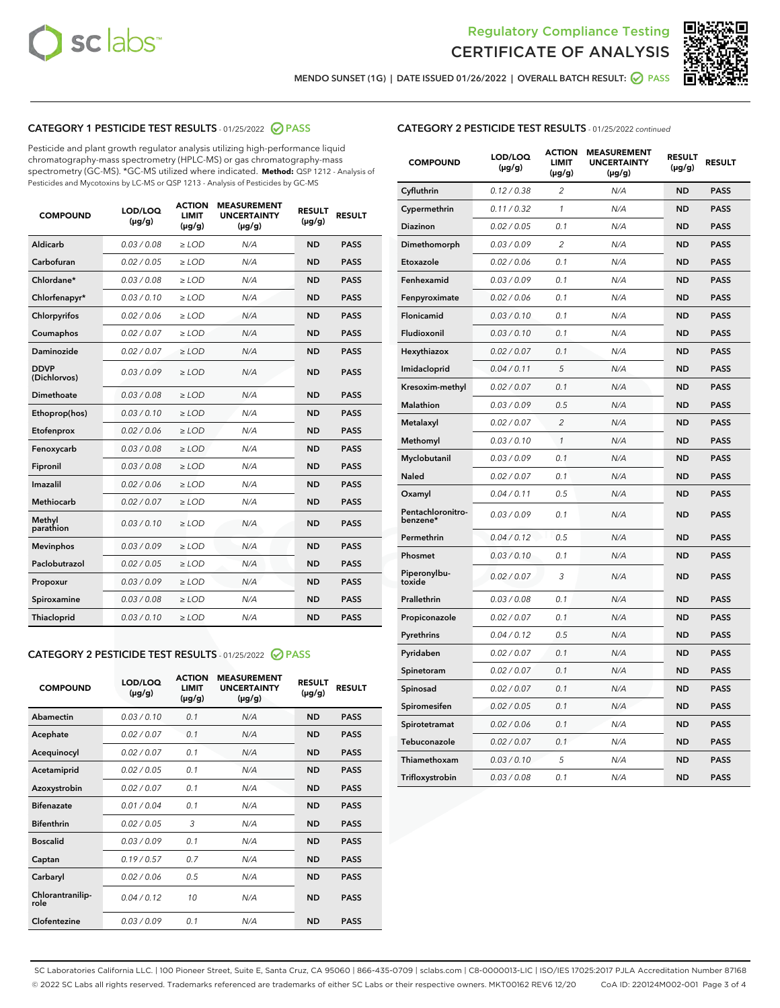



MENDO SUNSET (1G) | DATE ISSUED 01/26/2022 | OVERALL BATCH RESULT: ● PASS

# CATEGORY 1 PESTICIDE TEST RESULTS - 01/25/2022 2 PASS

Pesticide and plant growth regulator analysis utilizing high-performance liquid chromatography-mass spectrometry (HPLC-MS) or gas chromatography-mass spectrometry (GC-MS). \*GC-MS utilized where indicated. **Method:** QSP 1212 - Analysis of Pesticides and Mycotoxins by LC-MS or QSP 1213 - Analysis of Pesticides by GC-MS

| <b>COMPOUND</b>             | LOD/LOQ<br>$(\mu g/g)$ | <b>ACTION</b><br><b>LIMIT</b><br>$(\mu g/g)$ | <b>MEASUREMENT</b><br><b>UNCERTAINTY</b><br>$(\mu g/g)$ | <b>RESULT</b><br>$(\mu g/g)$ | <b>RESULT</b> |
|-----------------------------|------------------------|----------------------------------------------|---------------------------------------------------------|------------------------------|---------------|
| Aldicarb                    | 0.03 / 0.08            | $\geq$ LOD                                   | N/A                                                     | <b>ND</b>                    | <b>PASS</b>   |
| Carbofuran                  | 0.02/0.05              | $\ge$ LOD                                    | N/A                                                     | <b>ND</b>                    | <b>PASS</b>   |
| Chlordane*                  | 0.03 / 0.08            | $\ge$ LOD                                    | N/A                                                     | <b>ND</b>                    | <b>PASS</b>   |
| Chlorfenapyr*               | 0.03/0.10              | $\ge$ LOD                                    | N/A                                                     | <b>ND</b>                    | <b>PASS</b>   |
| Chlorpyrifos                | 0.02 / 0.06            | $\ge$ LOD                                    | N/A                                                     | <b>ND</b>                    | <b>PASS</b>   |
| Coumaphos                   | 0.02 / 0.07            | $\ge$ LOD                                    | N/A                                                     | <b>ND</b>                    | <b>PASS</b>   |
| Daminozide                  | 0.02 / 0.07            | $\ge$ LOD                                    | N/A                                                     | <b>ND</b>                    | <b>PASS</b>   |
| <b>DDVP</b><br>(Dichlorvos) | 0.03/0.09              | $\ge$ LOD                                    | N/A                                                     | <b>ND</b>                    | <b>PASS</b>   |
| Dimethoate                  | 0.03 / 0.08            | $\ge$ LOD                                    | N/A                                                     | <b>ND</b>                    | <b>PASS</b>   |
| Ethoprop(hos)               | 0.03/0.10              | $\ge$ LOD                                    | N/A                                                     | <b>ND</b>                    | <b>PASS</b>   |
| Etofenprox                  | 0.02/0.06              | $\ge$ LOD                                    | N/A                                                     | <b>ND</b>                    | <b>PASS</b>   |
| Fenoxycarb                  | 0.03/0.08              | $\ge$ LOD                                    | N/A                                                     | <b>ND</b>                    | <b>PASS</b>   |
| Fipronil                    | 0.03/0.08              | $\ge$ LOD                                    | N/A                                                     | <b>ND</b>                    | <b>PASS</b>   |
| Imazalil                    | 0.02 / 0.06            | $\ge$ LOD                                    | N/A                                                     | <b>ND</b>                    | <b>PASS</b>   |
| <b>Methiocarb</b>           | 0.02 / 0.07            | $\ge$ LOD                                    | N/A                                                     | <b>ND</b>                    | <b>PASS</b>   |
| Methyl<br>parathion         | 0.03/0.10              | $\ge$ LOD                                    | N/A                                                     | <b>ND</b>                    | <b>PASS</b>   |
| <b>Mevinphos</b>            | 0.03/0.09              | $\ge$ LOD                                    | N/A                                                     | <b>ND</b>                    | <b>PASS</b>   |
| Paclobutrazol               | 0.02 / 0.05            | $\ge$ LOD                                    | N/A                                                     | <b>ND</b>                    | <b>PASS</b>   |
| Propoxur                    | 0.03/0.09              | $\ge$ LOD                                    | N/A                                                     | <b>ND</b>                    | <b>PASS</b>   |
| Spiroxamine                 | 0.03 / 0.08            | $\ge$ LOD                                    | N/A                                                     | <b>ND</b>                    | <b>PASS</b>   |
| <b>Thiacloprid</b>          | 0.03/0.10              | $\ge$ LOD                                    | N/A                                                     | <b>ND</b>                    | <b>PASS</b>   |
|                             |                        |                                              |                                                         |                              |               |

# CATEGORY 2 PESTICIDE TEST RESULTS - 01/25/2022 2 PASS

| <b>COMPOUND</b>          | LOD/LOO<br>$(\mu g/g)$ | <b>ACTION</b><br>LIMIT<br>$(\mu g/g)$ | <b>MEASUREMENT</b><br><b>UNCERTAINTY</b><br>$(\mu g/g)$ | <b>RESULT</b><br>$(\mu g/g)$ | <b>RESULT</b> |  |
|--------------------------|------------------------|---------------------------------------|---------------------------------------------------------|------------------------------|---------------|--|
| Abamectin                | 0.03/0.10              | 0.1                                   | N/A                                                     | <b>ND</b>                    | <b>PASS</b>   |  |
| Acephate                 | 0.02/0.07              | 0.1                                   | N/A                                                     | <b>ND</b>                    | <b>PASS</b>   |  |
| Acequinocyl              | 0.02/0.07              | 0.1                                   | N/A                                                     | <b>ND</b>                    | <b>PASS</b>   |  |
| Acetamiprid              | 0.02/0.05              | 0.1                                   | N/A                                                     | <b>ND</b>                    | <b>PASS</b>   |  |
| Azoxystrobin             | 0.02/0.07              | 0.1                                   | N/A                                                     | <b>ND</b>                    | <b>PASS</b>   |  |
| <b>Bifenazate</b>        | 0.01/0.04              | 0.1                                   | N/A                                                     | <b>ND</b>                    | <b>PASS</b>   |  |
| <b>Bifenthrin</b>        | 0.02/0.05              | 3                                     | N/A                                                     | <b>ND</b>                    | <b>PASS</b>   |  |
| <b>Boscalid</b>          | 0.03/0.09              | 0.1                                   | N/A                                                     | <b>ND</b>                    | <b>PASS</b>   |  |
| Captan                   | 0.19/0.57              | 0.7                                   | N/A                                                     | <b>ND</b>                    | <b>PASS</b>   |  |
| Carbaryl                 | 0.02/0.06              | 0.5                                   | N/A                                                     | <b>ND</b>                    | <b>PASS</b>   |  |
| Chlorantranilip-<br>role | 0.04/0.12              | 10                                    | N/A                                                     | <b>ND</b>                    | <b>PASS</b>   |  |
| Clofentezine             | 0.03/0.09              | 0.1                                   | N/A                                                     | <b>ND</b>                    | <b>PASS</b>   |  |

| <b>COMPOUND</b>               | LOD/LOQ<br>(µg/g) | <b>ACTION</b><br>LIMIT<br>(µg/g) | <b>MEASUREMENT</b><br><b>UNCERTAINTY</b><br>$(\mu g/g)$ | <b>RESULT</b><br>(µg/g) | <b>RESULT</b> |
|-------------------------------|-------------------|----------------------------------|---------------------------------------------------------|-------------------------|---------------|
| Cyfluthrin                    | 0.12 / 0.38       | $\overline{c}$                   | N/A                                                     | <b>ND</b>               | <b>PASS</b>   |
| Cypermethrin                  | 0.11 / 0.32       | $\mathcal{I}$                    | N/A                                                     | <b>ND</b>               | <b>PASS</b>   |
| Diazinon                      | 0.02 / 0.05       | 0.1                              | N/A                                                     | <b>ND</b>               | <b>PASS</b>   |
| Dimethomorph                  | 0.03 / 0.09       | $\overline{2}$                   | N/A                                                     | <b>ND</b>               | <b>PASS</b>   |
| Etoxazole                     | 0.02 / 0.06       | 0.1                              | N/A                                                     | <b>ND</b>               | <b>PASS</b>   |
| Fenhexamid                    | 0.03 / 0.09       | 0.1                              | N/A                                                     | <b>ND</b>               | <b>PASS</b>   |
| Fenpyroximate                 | 0.02 / 0.06       | 0.1                              | N/A                                                     | <b>ND</b>               | <b>PASS</b>   |
| Flonicamid                    | 0.03 / 0.10       | 0.1                              | N/A                                                     | <b>ND</b>               | <b>PASS</b>   |
| Fludioxonil                   | 0.03 / 0.10       | 0.1                              | N/A                                                     | <b>ND</b>               | <b>PASS</b>   |
| Hexythiazox                   | 0.02 / 0.07       | 0.1                              | N/A                                                     | <b>ND</b>               | <b>PASS</b>   |
| Imidacloprid                  | 0.04 / 0.11       | 5                                | N/A                                                     | <b>ND</b>               | <b>PASS</b>   |
| Kresoxim-methyl               | 0.02 / 0.07       | 0.1                              | N/A                                                     | <b>ND</b>               | <b>PASS</b>   |
| <b>Malathion</b>              | 0.03 / 0.09       | 0.5                              | N/A                                                     | <b>ND</b>               | <b>PASS</b>   |
| Metalaxyl                     | 0.02 / 0.07       | $\overline{2}$                   | N/A                                                     | <b>ND</b>               | <b>PASS</b>   |
| Methomyl                      | 0.03 / 0.10       | 1                                | N/A                                                     | <b>ND</b>               | <b>PASS</b>   |
| Myclobutanil                  | 0.03 / 0.09       | 0.1                              | N/A                                                     | <b>ND</b>               | <b>PASS</b>   |
| <b>Naled</b>                  | 0.02 / 0.07       | 0.1                              | N/A                                                     | <b>ND</b>               | <b>PASS</b>   |
| Oxamyl                        | 0.04 / 0.11       | 0.5                              | N/A                                                     | <b>ND</b>               | <b>PASS</b>   |
| Pentachloronitro-<br>benzene* | 0.03/0.09         | 0.1                              | N/A                                                     | ND                      | <b>PASS</b>   |
| Permethrin                    | 0.04 / 0.12       | 0.5                              | N/A                                                     | <b>ND</b>               | <b>PASS</b>   |
| Phosmet                       | 0.03 / 0.10       | 0.1                              | N/A                                                     | <b>ND</b>               | <b>PASS</b>   |
| Piperonylbu-<br>toxide        | 0.02 / 0.07       | 3                                | N/A                                                     | <b>ND</b>               | <b>PASS</b>   |
| Prallethrin                   | 0.03 / 0.08       | 0.1                              | N/A                                                     | <b>ND</b>               | <b>PASS</b>   |
| Propiconazole                 | 0.02 / 0.07       | 0.1                              | N/A                                                     | <b>ND</b>               | <b>PASS</b>   |
| Pyrethrins                    | 0.04 / 0.12       | 0.5                              | N/A                                                     | <b>ND</b>               | <b>PASS</b>   |
| Pyridaben                     | 0.02 / 0.07       | 0.1                              | N/A                                                     | <b>ND</b>               | <b>PASS</b>   |
| Spinetoram                    | 0.02 / 0.07       | 0.1                              | N/A                                                     | <b>ND</b>               | <b>PASS</b>   |
| Spinosad                      | 0.02 / 0.07       | 0.1                              | N/A                                                     | <b>ND</b>               | <b>PASS</b>   |
| Spiromesifen                  | 0.02 / 0.05       | 0.1                              | N/A                                                     | <b>ND</b>               | <b>PASS</b>   |
| Spirotetramat                 | 0.02 / 0.06       | 0.1                              | N/A                                                     | <b>ND</b>               | <b>PASS</b>   |
| Tebuconazole                  | 0.02 / 0.07       | 0.1                              | N/A                                                     | ND                      | <b>PASS</b>   |
| Thiamethoxam                  | 0.03 / 0.10       | 5                                | N/A                                                     | <b>ND</b>               | <b>PASS</b>   |
| Trifloxystrobin               | 0.03 / 0.08       | 0.1                              | N/A                                                     | ND                      | <b>PASS</b>   |

SC Laboratories California LLC. | 100 Pioneer Street, Suite E, Santa Cruz, CA 95060 | 866-435-0709 | sclabs.com | C8-0000013-LIC | ISO/IES 17025:2017 PJLA Accreditation Number 87168 © 2022 SC Labs all rights reserved. Trademarks referenced are trademarks of either SC Labs or their respective owners. MKT00162 REV6 12/20 CoA ID: 220124M002-001 Page 3 of 4